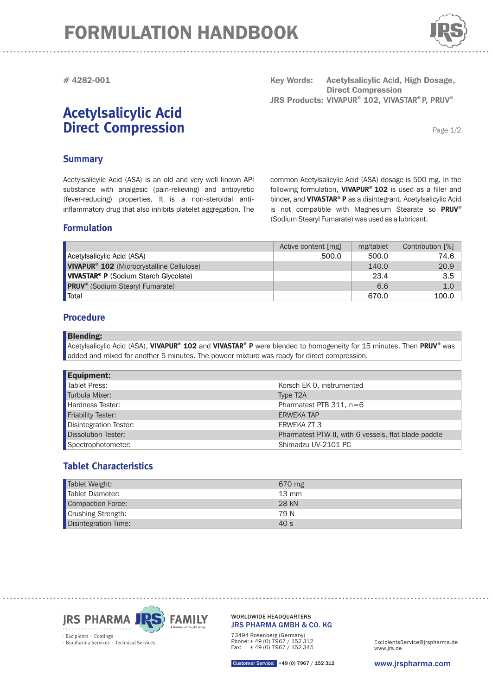# FORMULATION HANDBOOK



**# 4282-001**

# **Acetylsalicylic Acid Direct Compression**

Key Words: Acetylsalicylic Acid, High Dosage, **Direct Compression**  $JRS$  Products: VIVAPUR<sup>®</sup> 102, VIVASTAR<sup>®</sup> P, PRUV<sup>®</sup>

common Acetylsalicylic Acid (ASA) dosage is 500 mg. In the following formulation, VIVAPUR® 102 is used as a filler and binder, and **VIVASTAR<sup>®</sup> P** as a disintegrant. Acetylsalicylic Acid

Page 1/2

## **Summary**

Acetylsalicylic Acid (ASA) is an old and very well known API substance with analgesic (pain-relieving) and antipyretic (fever-reducing) properties. It is a non-steroidal antiinflammatory drug that also inhibits platelet aggregation. The

## **Formulation**

Active content [mg] mg/tablet Contribution [%] Acetylsalicylic Acid (ASA) 600.0 500.0 500.0 74.6 140.0 20.9 **VIVAPUR ® 102** (Microcrystalline Cellulose) is not compatible with Magnesium Stearate so PRUV<sup>®</sup> (Sodium Stearyl Fumarate) was used as a lubricant.

### **Procedure**

#### Blending:

Acetylsalicylic Acid (ASA), VIVAPUR<sup>®</sup> 102 and VIVASTAR® P were blended to homogeneity for 15 minutes. Then PRUV® was added and mixed for another 5 minutes. The powder mixture was ready for direct compression.

**VIVASTAR<sup>®</sup> P** (Sodium Starch Glycolate) 23.4 3.5 **PRUV**® (Sodium Stearyl Fumarate) and the stearch of the stearch of the stearch of the stearch of the stearch of the stearch of the stearch of the stearch of the stearch of the stearch of the stearch of the stearch of the Total 670.0  $\vert$  670.0  $\vert$  670.0  $\vert$  670.0  $\vert$  670.0  $\vert$  670.0  $\vert$  670.0  $\vert$  670.0  $\vert$  670.0  $\vert$  670.0  $\vert$  670.0  $\vert$  670.0  $\vert$  670.0  $\vert$  670.0  $\vert$  670.0  $\vert$  670.0  $\vert$  670.0  $\vert$  670.0  $\vert$  670.0  $\vert$  670.0

| <b>Equipment:</b>          |                                                      |
|----------------------------|------------------------------------------------------|
| <b>Tablet Press:</b>       | Korsch EK 0, instrumented                            |
| Turbula Mixer:             | Type T <sub>2</sub> A                                |
| Hardness Tester:           | Pharmatest PTB $311$ , n=6                           |
| <b>Friability Tester:</b>  | <b>ERWEKA TAP</b>                                    |
| Disintegration Tester:     | ERWEKA ZT 3                                          |
| <b>Dissolution Tester:</b> | Pharmatest PTW II, with 6 vessels, flat blade paddle |
| Spectrophotometer:         | Shimadzu UV-2101 PC                                  |

# **Tablet Characteristics**

| Tablet Weight:              | 670 mg          |
|-----------------------------|-----------------|
| Tablet Diameter:            | $13 \text{ mm}$ |
| Compaction Force:           | 28 kN           |
| Crushing Strength:          | 79 N            |
| <b>Disintegration Time:</b> | 40 s            |



#### JRS PHARMA GMBH & CO. KG WORLDWIDE HEADQUARTERS

73494 Rosenberg (Germany) Phone: + 49 (0) 7967 / 152 312 Fax: + 49 (0) 7967 / 152 345

www.jrs.de ExcipientsService@jrspharma.de

Customer Service: +49 (0) 7967 / 152 312

www.jrspharma.com